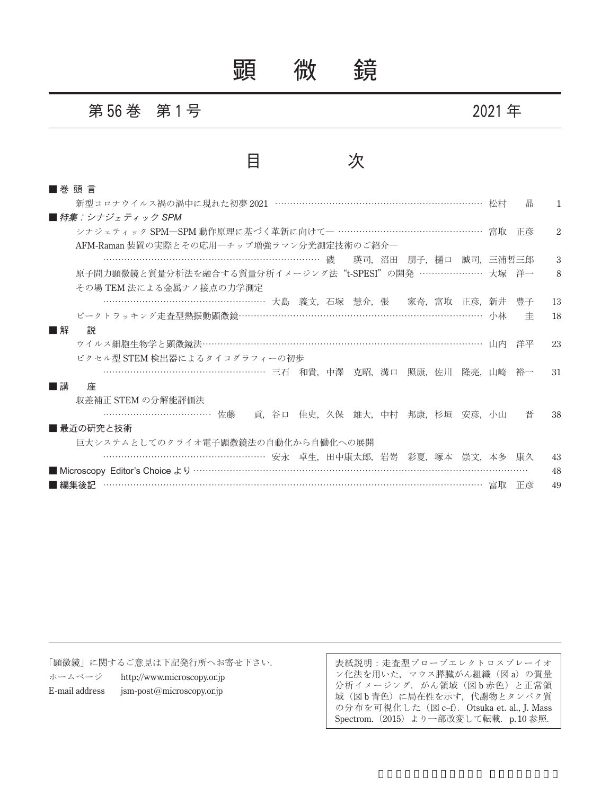# 顕 微 鏡

### 第 **56** 巻 第 **1** 号 **2021** 年

## 目 次

| ■ 巻 頭 言                                                  |    |    |
|----------------------------------------------------------|----|----|
| 新型コロナウイルス禍の渦中に現れた初夢 2021 …………………………………………………………… 松村      | 晶  | 1. |
| ■ 特集:シナジェティック SPM                                        |    |    |
| シナジェティック SPM―SPM 動作原理に基づく革新に向けて― ………………………………………… 富取 正彦  |    | 2  |
| AFM-Raman 装置の実際とその応用―チップ増強ラマン分光測定技術のご紹介―                 |    |    |
| ……………………………………………………………… 磯<br>- 瑛司、沼田 - 朋子、桶口 - 誠司、三浦哲三郎 |    | 3  |
| 原子間力顕微鏡と質量分析法を融合する質量分析イメージング法"t-SPESI"の開発 ………………… 大塚 洋一  |    | 8  |
| その場 TEM 法による金属ナノ接点の力学測定                                  |    |    |
| ………………………………………………… 大島 義文, 石塚 慧介, 張 宗奇, 富取 正彦, 新井        | 豊子 | 13 |
| ピークトラッキング走査型熱振動顕微鏡…………………………………………………………………… 小林          | 丰  | 18 |
| ■解<br>説                                                  |    |    |
| ウイルス細胞生物学と顕微鏡法………………………………………………………………………………… 山内         | 洋平 | 23 |
| ピクセル型 STEM 検出器によるタイコグラフィーの初歩                             |    |    |
| ………………………………………………… 三石 和貴,中澤 克昭,溝口 照康,佐川 隆亮,山崎 裕一        |    | 31 |
| ■講<br>座                                                  |    |    |
| 収差補正 STEM の分解能評価法                                        |    |    |
| …………………………………… 佐藤<br>- 貢,谷口--佳史,久保--雄大,中村--邦康,杉垣--安彦,小山- | 晋  | 38 |
| ■ 最近の研究と技術                                               |    |    |
| 巨大システムとしてのクライオ電子顕微鏡法の自動化から自働化への展開                        |    |    |
|                                                          |    | 43 |
|                                                          |    | 48 |
| ■編集後記                                                    | 正彦 | 49 |

「顕微鏡」に関するご意見は下記発行所へお寄せ下さい.

ホームページ http://www.microscopy.or.jp E-mail address jsm-post@microscopy.or.jp

表紙説明:走査型プローブエレクトロスプレーイオ ン化法を用いた,マウス膵臓がん組織(図 a)の質量 分析イメージング. がん領域(図b赤色)と正常領 域(図 b 青色)に局在性を示す,代謝物とタンパク質 の分布を可視化した (図 c–f). Otsuka et. al., J. Mass Spectrom. (2015) より一部改変して転載. p.10 参照.